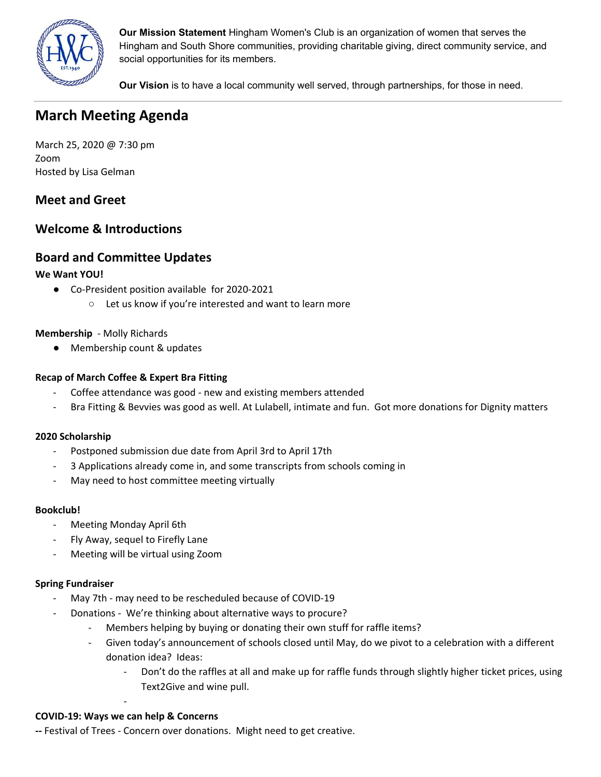

**Our Mission Statement** Hingham Women's Club is an organization of women that serves the Hingham and South Shore communities, providing charitable giving, direct community service, and social opportunities for its members.

**Our Vision** is to have a local community well served, through partnerships, for those in need.

# **March Meeting Agenda**

March 25, 2020 @ 7:30 pm Zoom Hosted by Lisa Gelman

# **Meet and Greet**

# **Welcome & Introductions**

# **Board and Committee Updates**

# **We Want YOU!**

- **●** Co-President position available for 2020-2021
	- **○** Let us know if you're interested and want to learn more

# **Membership** - Molly Richards

● Membership count & updates

# **Recap of March Coffee & Expert Bra Fitting**

- Coffee attendance was good new and existing members attended
- Bra Fitting & Bevvies was good as well. At Lulabell, intimate and fun. Got more donations for Dignity matters

### **2020 Scholarship**

- Postponed submission due date from April 3rd to April 17th
- 3 Applications already come in, and some transcripts from schools coming in
- May need to host committee meeting virtually

### **Bookclub!**

- Meeting Monday April 6th
- Fly Away, sequel to Firefly Lane
- Meeting will be virtual using Zoom

### **Spring Fundraiser**

- May 7th may need to be rescheduled because of COVID-19
- Donations We're thinking about alternative ways to procure?
	- Members helping by buying or donating their own stuff for raffle items?
	- Given today's announcement of schools closed until May, do we pivot to a celebration with a different donation idea? Ideas:
		- Don't do the raffles at all and make up for raffle funds through slightly higher ticket prices, using Text2Give and wine pull.

# - **COVID-19: Ways we can help & Concerns**

**--** Festival of Trees - Concern over donations. Might need to get creative.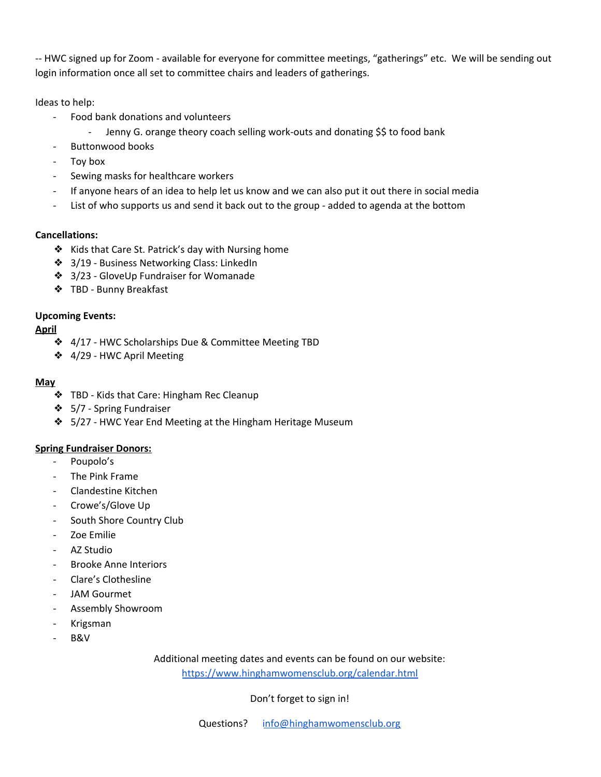-- HWC signed up for Zoom - available for everyone for committee meetings, "gatherings" etc. We will be sending out login information once all set to committee chairs and leaders of gatherings.

Ideas to help:

- Food bank donations and volunteers
	- Jenny G. orange theory coach selling work-outs and donating \$\$ to food bank
- Buttonwood books
- Toy box
- Sewing masks for healthcare workers
- If anyone hears of an idea to help let us know and we can also put it out there in social media
- List of who supports us and send it back out to the group added to agenda at the bottom

# **Cancellations:**

- ❖ Kids that Care St. Patrick's day with Nursing home
- ❖ 3/19 Business Networking Class: LinkedIn
- ❖ 3/23 GloveUp Fundraiser for Womanade
- ❖ TBD Bunny Breakfast

# **Upcoming Events:**

# **April**

- ❖ 4/17 HWC Scholarships Due & Committee Meeting TBD
- ❖ 4/29 HWC April Meeting

### **May**

- ❖ TBD Kids that Care: Hingham Rec Cleanup
- ❖ 5/7 Spring Fundraiser
- ❖ 5/27 HWC Year End Meeting at the Hingham Heritage Museum

### **Spring Fundraiser Donors:**

- Poupolo's
- The Pink Frame
- Clandestine Kitchen
- Crowe's/Glove Up
- South Shore Country Club
- Zoe Emilie
- AZ Studio
- Brooke Anne Interiors
- Clare's Clothesline
- JAM Gourmet
- Assembly Showroom
- Krigsman
- B&V

Additional meeting dates and events can be found on our website:

<https://www.hinghamwomensclub.org/calendar.html>

# Don't forget to sign in!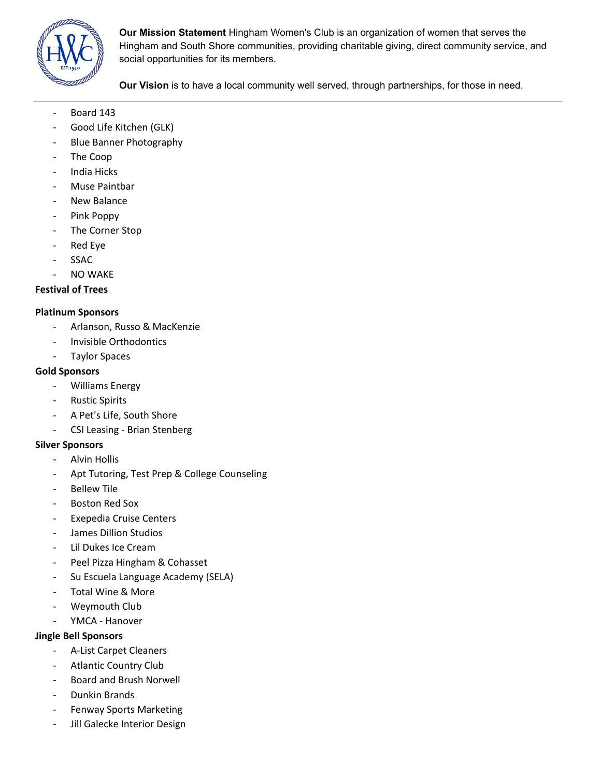

**Our Mission Statement** Hingham Women's Club is an organization of women that serves the Hingham and South Shore communities, providing charitable giving, direct community service, and social opportunities for its members.

**Our Vision** is to have a local community well served, through partnerships, for those in need.

- Board 143
- Good Life Kitchen (GLK)
- Blue Banner Photography
- The Coop
- India Hicks
- Muse Paintbar
- New Balance
- Pink Poppy
- The Corner Stop
- Red Eye
- **SSAC**
- NO WAKE

### **Festival of Trees**

#### **Platinum Sponsors**

- Arlanson, Russo & MacKenzie
- Invisible Orthodontics
- Taylor Spaces

#### **Gold Sponsors**

- Williams Energy
- Rustic Spirits
- A Pet's Life, South Shore
- CSI Leasing Brian Stenberg

### **Silver Sponsors**

- Alvin Hollis
- Apt Tutoring, Test Prep & College Counseling
- **Bellew Tile**
- Boston Red Sox
- Exepedia Cruise Centers
- James Dillion Studios
- Lil Dukes Ice Cream
- Peel Pizza Hingham & Cohasset
- Su Escuela Language Academy (SELA)
- Total Wine & More
- Weymouth Club
- YMCA Hanover

### **Jingle Bell Sponsors**

- A-List Carpet Cleaners
- Atlantic Country Club
- Board and Brush Norwell
- Dunkin Brands
- Fenway Sports Marketing
- Jill Galecke Interior Design